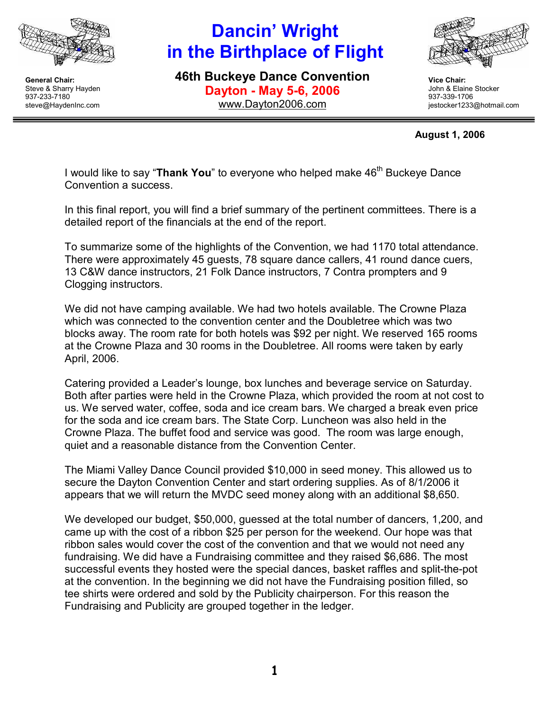

# Dancin' Wright in the Birthplace of Flight

46th Buckeye Dance Convention Dayton - May 5-6, 2006 www.Dayton2006.com



Vice Chair: John & Elaine Stocker 937-339-1706 jestocker1233@hotmail.com

#### August 1, 2006

I would like to say "Thank You" to everyone who helped make 46<sup>th</sup> Buckeve Dance Convention a success.

In this final report, you will find a brief summary of the pertinent committees. There is a detailed report of the financials at the end of the report.

To summarize some of the highlights of the Convention, we had 1170 total attendance. There were approximately 45 guests, 78 square dance callers, 41 round dance cuers, 13 C&W dance instructors, 21 Folk Dance instructors, 7 Contra prompters and 9 Clogging instructors.

We did not have camping available. We had two hotels available. The Crowne Plaza which was connected to the convention center and the Doubletree which was two blocks away. The room rate for both hotels was \$92 per night. We reserved 165 rooms at the Crowne Plaza and 30 rooms in the Doubletree. All rooms were taken by early April, 2006.

Catering provided a Leader's lounge, box lunches and beverage service on Saturday. Both after parties were held in the Crowne Plaza, which provided the room at not cost to us. We served water, coffee, soda and ice cream bars. We charged a break even price for the soda and ice cream bars. The State Corp. Luncheon was also held in the Crowne Plaza. The buffet food and service was good. The room was large enough, quiet and a reasonable distance from the Convention Center.

The Miami Valley Dance Council provided \$10,000 in seed money. This allowed us to secure the Dayton Convention Center and start ordering supplies. As of 8/1/2006 it appears that we will return the MVDC seed money along with an additional \$8,650.

We developed our budget, \$50,000, guessed at the total number of dancers, 1,200, and came up with the cost of a ribbon \$25 per person for the weekend. Our hope was that ribbon sales would cover the cost of the convention and that we would not need any fundraising. We did have a Fundraising committee and they raised \$6,686. The most successful events they hosted were the special dances, basket raffles and split-the-pot at the convention. In the beginning we did not have the Fundraising position filled, so tee shirts were ordered and sold by the Publicity chairperson. For this reason the Fundraising and Publicity are grouped together in the ledger.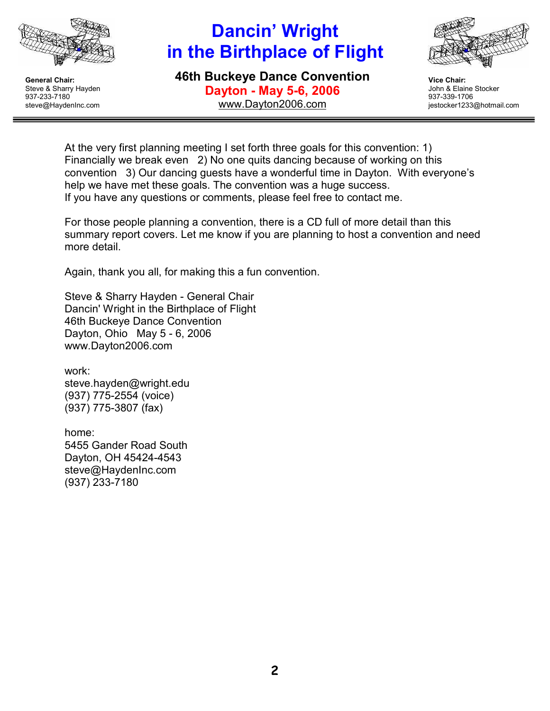

# Dancin' Wright in the Birthplace of Flight

46th Buckeye Dance Convention Dayton - May 5-6, 2006 www.Dayton2006.com



Vice Chair: John & Elaine Stocker 937-339-1706 jestocker1233@hotmail.com

At the very first planning meeting I set forth three goals for this convention: 1) Financially we break even 2) No one quits dancing because of working on this convention 3) Our dancing guests have a wonderful time in Dayton. With everyone's help we have met these goals. The convention was a huge success. If you have any questions or comments, please feel free to contact me.

For those people planning a convention, there is a CD full of more detail than this summary report covers. Let me know if you are planning to host a convention and need more detail.

Again, thank you all, for making this a fun convention.

Steve & Sharry Hayden - General Chair Dancin' Wright in the Birthplace of Flight 46th Buckeye Dance Convention Dayton, Ohio May 5 - 6, 2006 www.Dayton2006.com

work: steve.hayden@wright.edu (937) 775-2554 (voice) (937) 775-3807 (fax)

home: 5455 Gander Road South Dayton, OH 45424-4543 steve@HaydenInc.com (937) 233-7180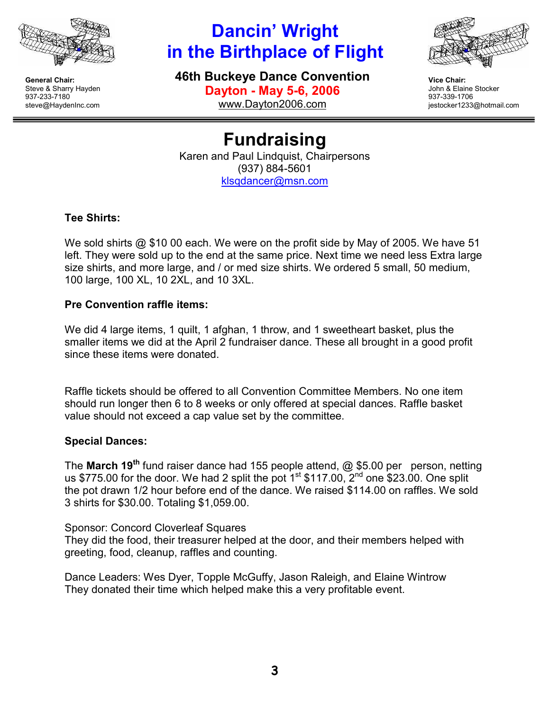

# Dancin' Wright in the Birthplace of Flight

46th Buckeye Dance Convention Dayton - May 5-6, 2006 www.Dayton2006.com



Vice Chair: John & Elaine Stocker 937-339-1706 jestocker1233@hotmail.com

Fundraising Karen and Paul Lindquist, Chairpersons (937) 884-5601 klsqdancer@msn.com

### Tee Shirts:

We sold shirts @ \$10 00 each. We were on the profit side by May of 2005. We have 51 left. They were sold up to the end at the same price. Next time we need less Extra large size shirts, and more large, and / or med size shirts. We ordered 5 small, 50 medium, 100 large, 100 XL, 10 2XL, and 10 3XL.

### Pre Convention raffle items:

We did 4 large items, 1 quilt, 1 afghan, 1 throw, and 1 sweetheart basket, plus the smaller items we did at the April 2 fundraiser dance. These all brought in a good profit since these items were donated.

Raffle tickets should be offered to all Convention Committee Members. No one item should run longer then 6 to 8 weeks or only offered at special dances. Raffle basket value should not exceed a cap value set by the committee.

### Special Dances:

The March 19<sup>th</sup> fund raiser dance had 155 people attend,  $\omega$  \$5.00 per person, netting us \$775.00 for the door. We had 2 split the pot  $1<sup>st</sup>$  \$117.00,  $2<sup>nd</sup>$  one \$23.00. One split the pot drawn 1/2 hour before end of the dance. We raised \$114.00 on raffles. We sold 3 shirts for \$30.00. Totaling \$1,059.00.

Sponsor: Concord Cloverleaf Squares They did the food, their treasurer helped at the door, and their members helped with greeting, food, cleanup, raffles and counting.

Dance Leaders: Wes Dyer, Topple McGuffy, Jason Raleigh, and Elaine Wintrow They donated their time which helped make this a very profitable event.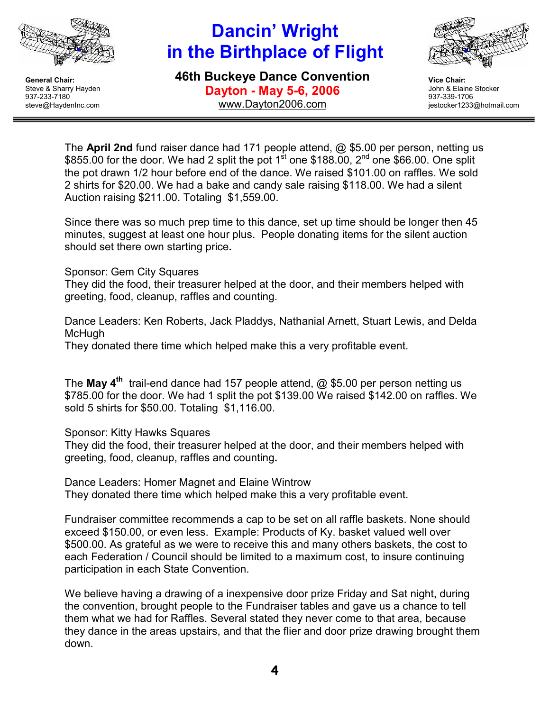

# Dancin' Wright in the Birthplace of Flight

46th Buckeye Dance Convention Dayton - May 5-6, 2006 www.Dayton2006.com



Vice Chair: John & Elaine Stocker 937-339-1706 jestocker1233@hotmail.com

The April 2nd fund raiser dance had 171 people attend, @ \$5.00 per person, netting us \$855.00 for the door. We had 2 split the pot 1<sup>st</sup> one \$188.00, 2<sup>nd</sup> one \$66.00. One split the pot drawn 1/2 hour before end of the dance. We raised \$101.00 on raffles. We sold 2 shirts for \$20.00. We had a bake and candy sale raising \$118.00. We had a silent Auction raising \$211.00. Totaling \$1,559.00.

Since there was so much prep time to this dance, set up time should be longer then 45 minutes, suggest at least one hour plus. People donating items for the silent auction should set there own starting price.

Sponsor: Gem City Squares

They did the food, their treasurer helped at the door, and their members helped with greeting, food, cleanup, raffles and counting.

Dance Leaders: Ken Roberts, Jack Pladdys, Nathanial Arnett, Stuart Lewis, and Delda McHugh

They donated there time which helped make this a very profitable event.

The May  $4^{\text{th}}$  trail-end dance had 157 people attend,  $@$  \$5.00 per person netting us \$785.00 for the door. We had 1 split the pot \$139.00 We raised \$142.00 on raffles. We sold 5 shirts for \$50.00. Totaling \$1,116.00.

Sponsor: Kitty Hawks Squares

They did the food, their treasurer helped at the door, and their members helped with greeting, food, cleanup, raffles and counting.

Dance Leaders: Homer Magnet and Elaine Wintrow They donated there time which helped make this a very profitable event.

Fundraiser committee recommends a cap to be set on all raffle baskets. None should exceed \$150.00, or even less. Example: Products of Ky. basket valued well over \$500.00. As grateful as we were to receive this and many others baskets, the cost to each Federation / Council should be limited to a maximum cost, to insure continuing participation in each State Convention.

We believe having a drawing of a inexpensive door prize Friday and Sat night, during the convention, brought people to the Fundraiser tables and gave us a chance to tell them what we had for Raffles. Several stated they never come to that area, because they dance in the areas upstairs, and that the flier and door prize drawing brought them down.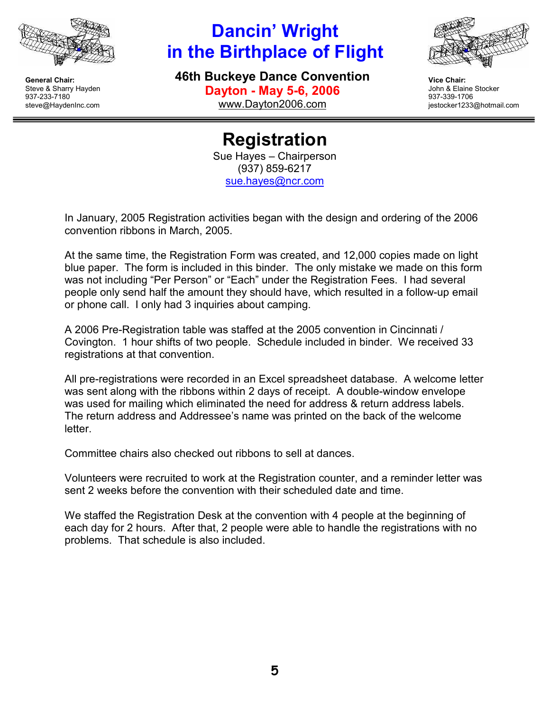

# Dancin' Wright in the Birthplace of Flight

46th Buckeye Dance Convention Dayton - May 5-6, 2006 www.Dayton2006.com



Vice Chair: John & Elaine Stocker 937-339-1706 jestocker1233@hotmail.com

Registration Sue Hayes – Chairperson (937) 859-6217 sue.hayes@ncr.com

In January, 2005 Registration activities began with the design and ordering of the 2006 convention ribbons in March, 2005.

At the same time, the Registration Form was created, and 12,000 copies made on light blue paper. The form is included in this binder. The only mistake we made on this form was not including "Per Person" or "Each" under the Registration Fees. I had several people only send half the amount they should have, which resulted in a follow-up email or phone call. I only had 3 inquiries about camping.

A 2006 Pre-Registration table was staffed at the 2005 convention in Cincinnati / Covington. 1 hour shifts of two people. Schedule included in binder. We received 33 registrations at that convention.

All pre-registrations were recorded in an Excel spreadsheet database. A welcome letter was sent along with the ribbons within 2 days of receipt. A double-window envelope was used for mailing which eliminated the need for address & return address labels. The return address and Addressee's name was printed on the back of the welcome letter.

Committee chairs also checked out ribbons to sell at dances.

Volunteers were recruited to work at the Registration counter, and a reminder letter was sent 2 weeks before the convention with their scheduled date and time.

We staffed the Registration Desk at the convention with 4 people at the beginning of each day for 2 hours. After that, 2 people were able to handle the registrations with no problems. That schedule is also included.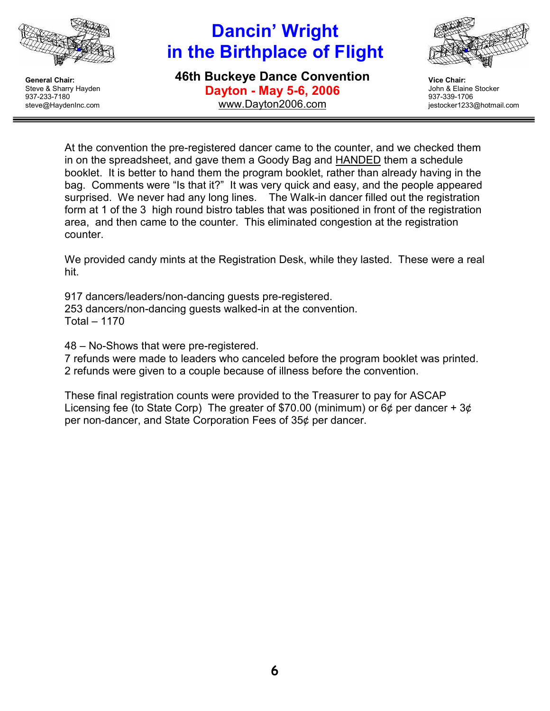

# Dancin' Wright in the Birthplace of Flight

46th Buckeye Dance Convention Dayton - May 5-6, 2006 www.Dayton2006.com



Vice Chair: John & Elaine Stocker 937-339-1706 jestocker1233@hotmail.com

At the convention the pre-registered dancer came to the counter, and we checked them in on the spreadsheet, and gave them a Goody Bag and HANDED them a schedule booklet. It is better to hand them the program booklet, rather than already having in the bag. Comments were "Is that it?" It was very quick and easy, and the people appeared surprised. We never had any long lines. The Walk-in dancer filled out the registration form at 1 of the 3 high round bistro tables that was positioned in front of the registration area, and then came to the counter. This eliminated congestion at the registration counter.

We provided candy mints at the Registration Desk, while they lasted. These were a real hit.

917 dancers/leaders/non-dancing guests pre-registered. 253 dancers/non-dancing guests walked-in at the convention. Total – 1170

48 – No-Shows that were pre-registered.

7 refunds were made to leaders who canceled before the program booklet was printed. 2 refunds were given to a couple because of illness before the convention.

These final registration counts were provided to the Treasurer to pay for ASCAP Licensing fee (to State Corp) The greater of \$70.00 (minimum) or  $6¢$  per dancer +  $3¢$ per non-dancer, and State Corporation Fees of 35¢ per dancer.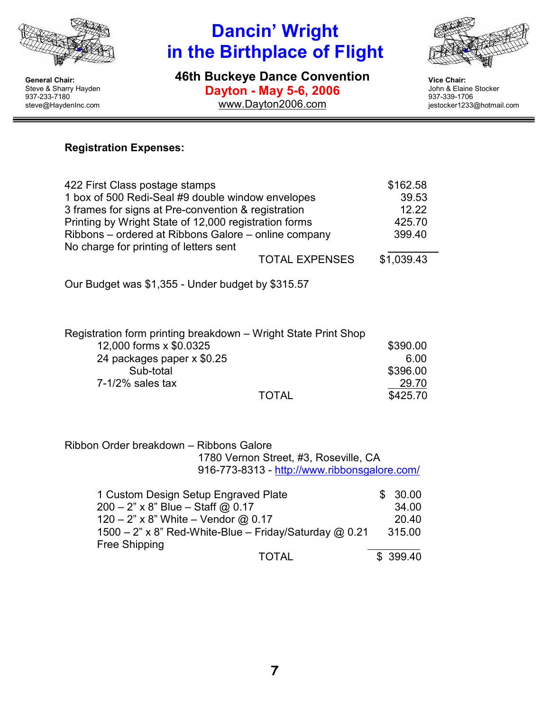

# Dancin' Wright in the Birthplace of Flight

46th Buckeye Dance Convention Dayton - May 5-6, 2006 www.Dayton2006.com



Vice Chair: John & Elaine Stocker 937-339-1706 jestocker1233@hotmail.com

### Registration Expenses:

| 422 First Class postage stamps                        | \$162.58   |
|-------------------------------------------------------|------------|
| 1 box of 500 Redi-Seal #9 double window envelopes     | 39.53      |
| 3 frames for signs at Pre-convention & registration   | 12.22      |
| Printing by Wright State of 12,000 registration forms | 425.70     |
| Ribbons – ordered at Ribbons Galore – online company  | 399.40     |
| No charge for printing of letters sent                |            |
| <b>TOTAL EXPENSES</b>                                 | \$1,039.43 |
|                                                       |            |

Our Budget was \$1,355 - Under budget by \$315.57

| Registration form printing breakdown – Wright State Print Shop |          |
|----------------------------------------------------------------|----------|
| 12,000 forms x \$0.0325                                        | \$390.00 |
| 24 packages paper x \$0.25                                     | 6.00     |
| Sub-total                                                      | \$396.00 |
| $7-1/2%$ sales tax                                             | 29.70    |
| <b>TOTAL</b>                                                   | \$425.70 |

Ribbon Order breakdown – Ribbons Galore 1780 Vernon Street, #3, Roseville, CA 916-773-8313 - http://www.ribbonsgalore.com/

| 1 Custom Design Setup Engraved Plate                          | 30.00     |
|---------------------------------------------------------------|-----------|
| $200 - 2" \times 8"$ Blue - Staff @ 0.17                      | 34.00     |
| 120 – 2" x 8" White – Vendor @ 0.17                           | 20.40     |
| 1500 - 2" x 8" Red-White-Blue - Friday/Saturday $\omega$ 0.21 | 315.00    |
| Free Shipping                                                 |           |
| TOTAL                                                         | \$ 399.40 |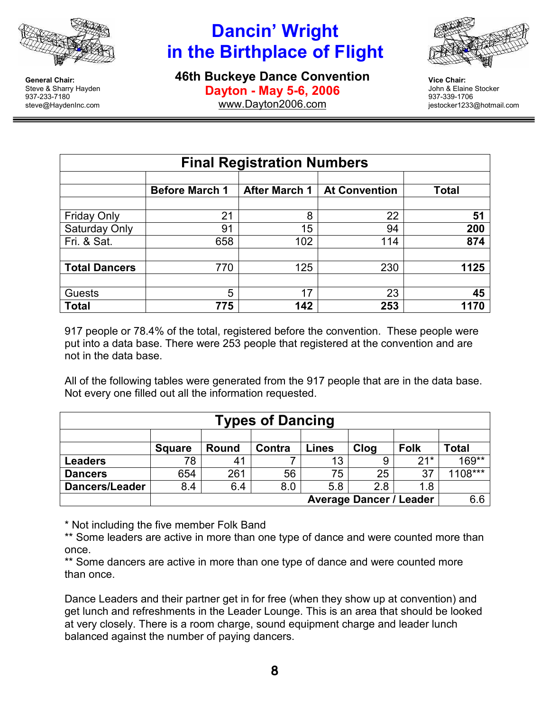

# Dancin' Wright in the Birthplace of Flight

46th Buckeye Dance Convention Dayton - May 5-6, 2006 www.Dayton2006.com



Vice Chair: John & Elaine Stocker 937-339-1706 jestocker1233@hotmail.com

| <b>Final Registration Numbers</b> |                       |                      |                      |              |  |  |
|-----------------------------------|-----------------------|----------------------|----------------------|--------------|--|--|
|                                   | <b>Before March 1</b> | <b>After March 1</b> | <b>At Convention</b> | <b>Total</b> |  |  |
| <b>Friday Only</b>                | 21                    | 8                    | 22                   | 51           |  |  |
| Saturday Only                     | 91                    | 15                   | 94                   | 200          |  |  |
| Fri. & Sat.                       | 658                   | 102                  | 114                  | 874          |  |  |
|                                   |                       |                      |                      |              |  |  |
| <b>Total Dancers</b>              | 770                   | 125                  | 230                  | 1125         |  |  |
|                                   |                       |                      |                      |              |  |  |
| Guests                            | 5                     | 17                   | 23                   | 45           |  |  |
| <b>Total</b>                      | 775                   | 142                  | 253                  | 1170         |  |  |

917 people or 78.4% of the total, registered before the convention. These people were put into a data base. There were 253 people that registered at the convention and are not in the data base.

All of the following tables were generated from the 917 people that are in the data base. Not every one filled out all the information requested.

| <b>Types of Dancing</b>                                                                 |     |     |     |     |     |       |           |
|-----------------------------------------------------------------------------------------|-----|-----|-----|-----|-----|-------|-----------|
|                                                                                         |     |     |     |     |     |       |           |
| Clog<br><b>Folk</b><br><b>Lines</b><br>Total<br>Contra<br><b>Round</b><br><b>Square</b> |     |     |     |     |     |       |           |
| <b>Leaders</b>                                                                          | 78  | 41  |     | 13  |     | $21*$ | 169**     |
| <b>Dancers</b>                                                                          | 654 | 261 | 56  | 75  | 25  | 37    | $1108***$ |
| Dancers/Leader                                                                          | 8.4 | 6.4 | 8.0 | 5.8 | 2.8 | 1.8   |           |
| <b>Average Dancer / Leader</b>                                                          |     |     |     |     | 6.6 |       |           |

\* Not including the five member Folk Band

\*\* Some leaders are active in more than one type of dance and were counted more than once.

\*\* Some dancers are active in more than one type of dance and were counted more than once.

Dance Leaders and their partner get in for free (when they show up at convention) and get lunch and refreshments in the Leader Lounge. This is an area that should be looked at very closely. There is a room charge, sound equipment charge and leader lunch balanced against the number of paying dancers.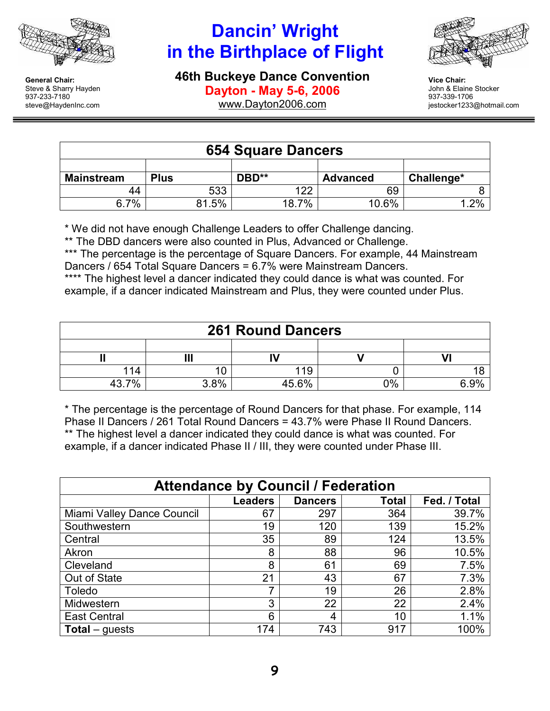

steve@HaydenInc.com

General Chair: Steve & Sharry Hayden 937-233-7180

# Dancin' Wright in the Birthplace of Flight

46th Buckeye Dance Convention Dayton - May 5-6, 2006



Vice Chair: John & Elaine Stocker 937-339-1706 jestocker1233@hotmail.com

www.Dayton2006.com

| <b>654 Square Dancers</b> |             |       |                 |            |  |
|---------------------------|-------------|-------|-----------------|------------|--|
|                           |             |       |                 |            |  |
| <b>Mainstream</b>         | <b>Plus</b> | DBD** | <b>Advanced</b> | Challenge* |  |
| 44                        | 533         | 122   | 69              |            |  |
| 6.7%                      | 81.5%       | 18.7% | 10.6%           | $.2\%$     |  |

\* We did not have enough Challenge Leaders to offer Challenge dancing.

\*\* The DBD dancers were also counted in Plus, Advanced or Challenge.

\*\*\* The percentage is the percentage of Square Dancers. For example, 44 Mainstream Dancers / 654 Total Square Dancers = 6.7% were Mainstream Dancers.

\*\*\*\* The highest level a dancer indicated they could dance is what was counted. For example, if a dancer indicated Mainstream and Plus, they were counted under Plus.

| <b>261 Round Dancers</b> |      |       |       |       |  |
|--------------------------|------|-------|-------|-------|--|
|                          |      |       |       |       |  |
|                          |      |       |       |       |  |
| 114                      |      | 119   |       |       |  |
| 437%                     | 3.8% | 45.6% | $0\%$ | 6.00/ |  |

\* The percentage is the percentage of Round Dancers for that phase. For example, 114 Phase II Dancers / 261 Total Round Dancers = 43.7% were Phase II Round Dancers. \*\* The highest level a dancer indicated they could dance is what was counted. For example, if a dancer indicated Phase II / III, they were counted under Phase III.

| <b>Attendance by Council / Federation</b> |                |                |       |              |  |
|-------------------------------------------|----------------|----------------|-------|--------------|--|
|                                           | <b>Leaders</b> | <b>Dancers</b> | Total | Fed. / Total |  |
| Miami Valley Dance Council                | 67             | 297            | 364   | 39.7%        |  |
| Southwestern                              | 19             | 120            | 139   | 15.2%        |  |
| Central                                   | 35             | 89             | 124   | 13.5%        |  |
| Akron                                     | 8              | 88             | 96    | 10.5%        |  |
| Cleveland                                 | 8              | 61             | 69    | 7.5%         |  |
| Out of State                              | 21             | 43             | 67    | 7.3%         |  |
| <b>Toledo</b>                             |                | 19             | 26    | 2.8%         |  |
| Midwestern                                | 3              | 22             | 22    | 2.4%         |  |
| <b>East Central</b>                       | 6              | 4              | 10    | 1.1%         |  |
| <b>Total</b> – guests                     | 174            | 743            | 917   | 100%         |  |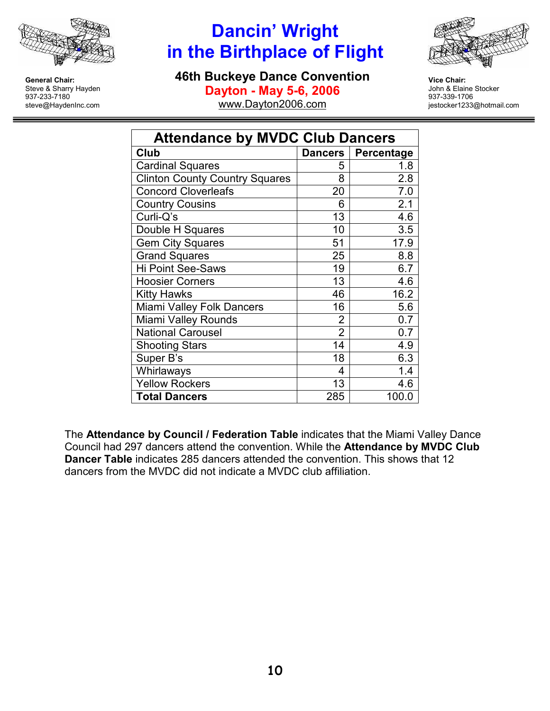

### Dancin' Wright in the Birthplace of Flight

46th Buckeye Dance Convention



Dayton - May 5-6, 2006

www.Dayton2006.com

Vice Chair: John & Elaine Stocker 937-339-1706 jestocker1233@hotmail.com

| <b>Attendance by MVDC Club Dancers</b> |                |            |  |  |  |
|----------------------------------------|----------------|------------|--|--|--|
| Club                                   | Dancers        | Percentage |  |  |  |
| <b>Cardinal Squares</b>                | 5              | 1.8        |  |  |  |
| <b>Clinton County Country Squares</b>  | 8              | 2.8        |  |  |  |
| <b>Concord Cloverleafs</b>             | 20             | 7.0        |  |  |  |
| <b>Country Cousins</b>                 | 6              | 2.1        |  |  |  |
| Curli-Q's                              | 13             | 4.6        |  |  |  |
| Double H Squares                       | 10             | 3.5        |  |  |  |
| <b>Gem City Squares</b>                | 51             | 17.9       |  |  |  |
| <b>Grand Squares</b>                   | 25             | 8.8        |  |  |  |
| <b>Hi Point See-Saws</b>               | 19             | 6.7        |  |  |  |
| <b>Hoosier Corners</b>                 | 13             | 4.6        |  |  |  |
| <b>Kitty Hawks</b>                     | 46             | 16.2       |  |  |  |
| Miami Valley Folk Dancers              | 16             | 5.6        |  |  |  |
| Miami Valley Rounds                    | $\overline{2}$ | 0.7        |  |  |  |
| <b>National Carousel</b>               | $\overline{2}$ | 0.7        |  |  |  |
| <b>Shooting Stars</b>                  | 14             | 4.9        |  |  |  |
| Super B's                              | 18             | 6.3        |  |  |  |
| Whirlaways                             | 4              | 1.4        |  |  |  |
| <b>Yellow Rockers</b>                  | 13             | 4.6        |  |  |  |
| <b>Total Dancers</b>                   | 285            | 100.0      |  |  |  |

The Attendance by Council / Federation Table indicates that the Miami Valley Dance Council had 297 dancers attend the convention. While the Attendance by MVDC Club Dancer Table indicates 285 dancers attended the convention. This shows that 12 dancers from the MVDC did not indicate a MVDC club affiliation.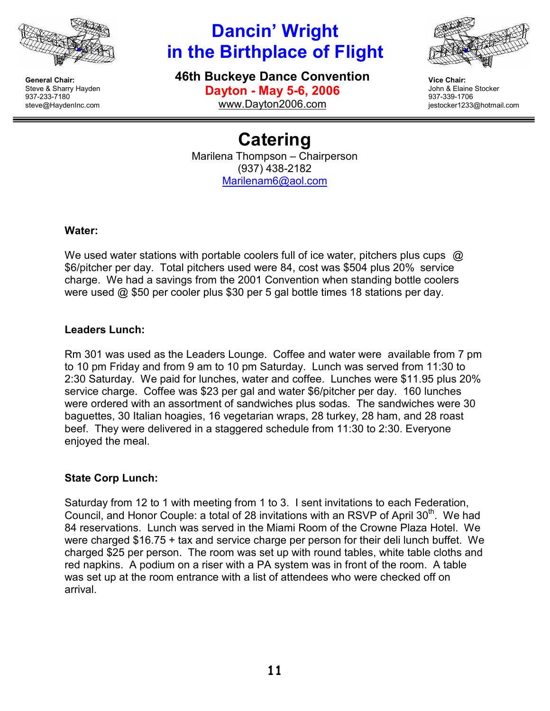

# Dancin' Wright in the Birthplace of Flight

46th Buckeye Dance Convention Dayton - May 5-6, 2006 www.Dayton2006.com



Vice Chair: John & Elaine Stocker 937-339-1706 jestocker1233@hotmail.com

**Catering** Marilena Thompson – Chairperson (937) 438-2182 Marilenam6@aol.com

#### Water:

We used water stations with portable coolers full of ice water, pitchers plus cups @ \$6/pitcher per day. Total pitchers used were 84, cost was \$504 plus 20% service charge. We had a savings from the 2001 Convention when standing bottle coolers were used @ \$50 per cooler plus \$30 per 5 gal bottle times 18 stations per day.

### Leaders Lunch:

Rm 301 was used as the Leaders Lounge. Coffee and water were available from 7 pm to 10 pm Friday and from 9 am to 10 pm Saturday. Lunch was served from 11:30 to 2:30 Saturday. We paid for lunches, water and coffee. Lunches were \$11.95 plus 20% service charge. Coffee was \$23 per gal and water \$6/pitcher per day. 160 lunches were ordered with an assortment of sandwiches plus sodas. The sandwiches were 30 baguettes, 30 Italian hoagies, 16 vegetarian wraps, 28 turkey, 28 ham, and 28 roast beef. They were delivered in a staggered schedule from 11:30 to 2:30. Everyone enjoyed the meal.

#### State Corp Lunch:

Saturday from 12 to 1 with meeting from 1 to 3. I sent invitations to each Federation, Council, and Honor Couple: a total of 28 invitations with an RSVP of April 30<sup>th</sup>. We had 84 reservations. Lunch was served in the Miami Room of the Crowne Plaza Hotel. We were charged \$16.75 + tax and service charge per person for their deli lunch buffet. We charged \$25 per person. The room was set up with round tables, white table cloths and red napkins. A podium on a riser with a PA system was in front of the room. A table was set up at the room entrance with a list of attendees who were checked off on arrival.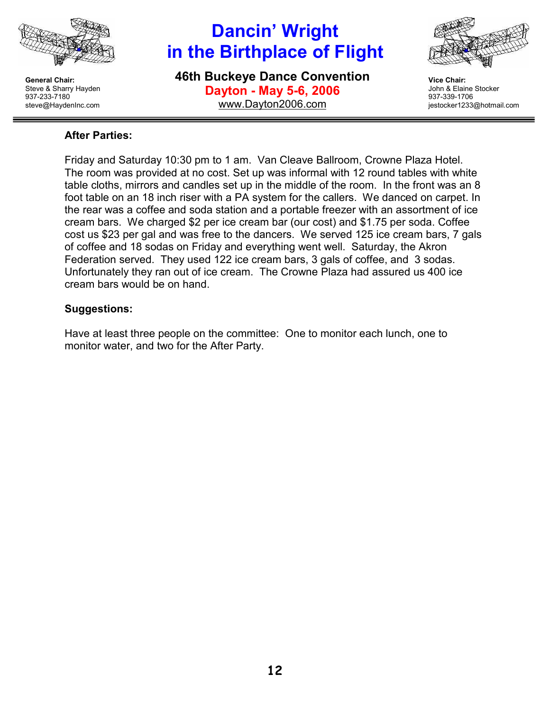

# Dancin' Wright in the Birthplace of Flight

46th Buckeye Dance Convention Dayton - May 5-6, 2006 www.Dayton2006.com



Vice Chair: John & Elaine Stocker 937-339-1706 jestocker1233@hotmail.com

#### After Parties:

Friday and Saturday 10:30 pm to 1 am. Van Cleave Ballroom, Crowne Plaza Hotel. The room was provided at no cost. Set up was informal with 12 round tables with white table cloths, mirrors and candles set up in the middle of the room. In the front was an 8 foot table on an 18 inch riser with a PA system for the callers. We danced on carpet. In the rear was a coffee and soda station and a portable freezer with an assortment of ice cream bars. We charged \$2 per ice cream bar (our cost) and \$1.75 per soda. Coffee cost us \$23 per gal and was free to the dancers. We served 125 ice cream bars, 7 gals of coffee and 18 sodas on Friday and everything went well. Saturday, the Akron Federation served. They used 122 ice cream bars, 3 gals of coffee, and 3 sodas. Unfortunately they ran out of ice cream. The Crowne Plaza had assured us 400 ice cream bars would be on hand.

### Suggestions:

Have at least three people on the committee: One to monitor each lunch, one to monitor water, and two for the After Party.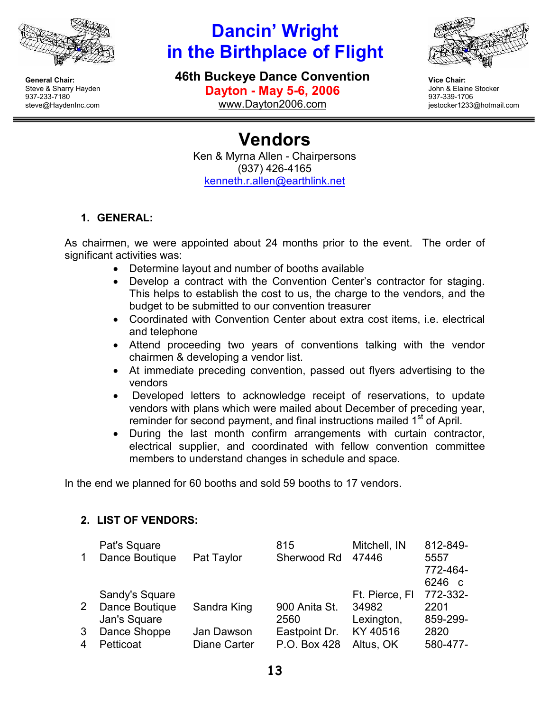

# Dancin' Wright in the Birthplace of Flight

46th Buckeye Dance Convention





Vice Chair: John & Elaine Stocker 937-339-1706 jestocker1233@hotmail.com

Vendors Ken & Myrna Allen - Chairpersons (937) 426-4165 kenneth.r.allen@earthlink.net

### 1. GENERAL:

As chairmen, we were appointed about 24 months prior to the event. The order of significant activities was:

- Determine layout and number of booths available
- Develop a contract with the Convention Center's contractor for staging. This helps to establish the cost to us, the charge to the vendors, and the budget to be submitted to our convention treasurer
- Coordinated with Convention Center about extra cost items, i.e. electrical and telephone
- Attend proceeding two years of conventions talking with the vendor chairmen & developing a vendor list.
- At immediate preceding convention, passed out flyers advertising to the vendors
- Developed letters to acknowledge receipt of reservations, to update vendors with plans which were mailed about December of preceding year, reminder for second payment, and final instructions mailed 1<sup>st</sup> of April.
- During the last month confirm arrangements with curtain contractor, electrical supplier, and coordinated with fellow convention committee members to understand changes in schedule and space.

In the end we planned for 60 booths and sold 59 booths to 17 vendors.

### 2. LIST OF VENDORS:

| $\mathbf 1$    | Pat's Square<br>Dance Boutique                   | Pat Taylor                        | 815<br>Sherwood Rd            | Mitchell, IN<br>47446                 | 812-849-<br>5557<br>772-464-<br>6246<br>$\mathsf{C}$ |
|----------------|--------------------------------------------------|-----------------------------------|-------------------------------|---------------------------------------|------------------------------------------------------|
| 2 <sup>1</sup> | Sandy's Square<br>Dance Boutique<br>Jan's Square | Sandra King                       | 900 Anita St.<br>2560         | Ft. Pierce, FI<br>34982<br>Lexington, | 772-332-<br>2201<br>859-299-                         |
| 3<br>4         | Dance Shoppe<br>Petticoat                        | Jan Dawson<br><b>Diane Carter</b> | Eastpoint Dr.<br>P.O. Box 428 | KY 40516<br>Altus, OK                 | 2820<br>580-477-                                     |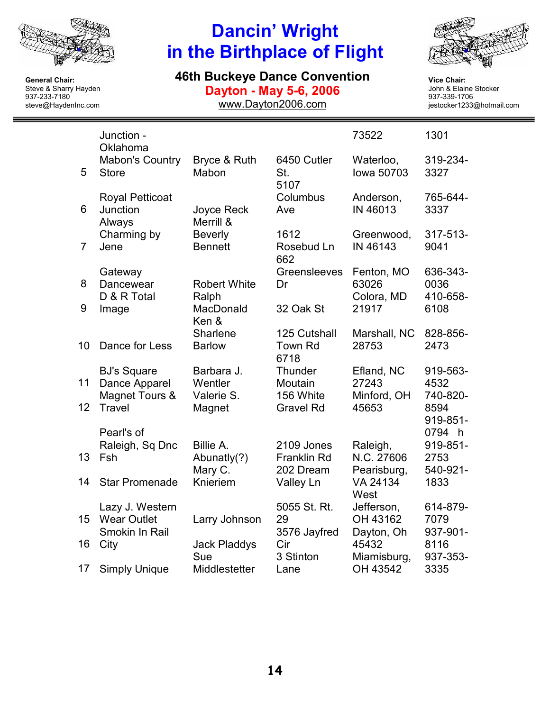

# Dancin' Wright in the Birthplace of Flight

### 46th Buckeye Dance Convention

Dayton - May 5-6, 2006

www.Dayton2006.com



Vice Chair: John & Elaine Stocker 937-339-1706 jestocker1233@hotmail.com

|                | Junction -<br>Oklahoma                                  |                                     |                                        | 73522                                | 1301                         |
|----------------|---------------------------------------------------------|-------------------------------------|----------------------------------------|--------------------------------------|------------------------------|
| 5              | <b>Mabon's Country</b><br><b>Store</b>                  | Bryce & Ruth<br>Mabon               | 6450 Cutler<br>St.<br>5107             | Waterloo,<br>lowa 50703              | 319-234-<br>3327             |
| 6              | <b>Royal Petticoat</b><br>Junction<br>Always            | <b>Joyce Reck</b><br>Merrill &      | Columbus<br>Ave                        | Anderson,<br>IN 46013                | 765-644-<br>3337             |
| $\overline{7}$ | Charming by<br>Jene                                     | <b>Beverly</b><br><b>Bennett</b>    | 1612<br>Rosebud Ln<br>662              | Greenwood,<br>IN 46143               | 317-513-<br>9041             |
| 8              | Gateway<br>Dancewear<br>D & R Total                     | <b>Robert White</b><br>Ralph        | Greensleeves<br>Dr                     | Fenton, MO<br>63026<br>Colora, MD    | 636-343-<br>0036<br>410-658- |
| 9              | Image                                                   | MacDonald<br>Ken &                  | 32 Oak St                              | 21917                                | 6108                         |
| 10             | Dance for Less                                          | Sharlene<br><b>Barlow</b>           | 125 Cutshall<br><b>Town Rd</b><br>6718 | Marshall, NC<br>28753                | 828-856-<br>2473             |
| 11             | <b>BJ's Square</b><br>Dance Apparel<br>Magnet Tours &   | Barbara J.<br>Wentler<br>Valerie S. | Thunder<br>Moutain<br>156 White        | Efland, NC<br>27243<br>Minford, OH   | 919-563-<br>4532<br>740-820- |
| 12             | <b>Travel</b>                                           | Magnet                              | <b>Gravel Rd</b>                       | 45653                                | 8594<br>919-851-             |
|                | Pearl's of<br>Raleigh, Sq Dnc                           | Billie A.                           | 2109 Jones                             | Raleigh,                             | 0794 h<br>919-851-           |
| 13             | Fsh                                                     | Abunatly(?)<br>Mary C.              | <b>Franklin Rd</b><br>202 Dream        | N.C. 27606<br>Pearisburg,            | 2753<br>540-921-             |
| 14             | <b>Star Promenade</b>                                   | Knieriem                            | Valley Ln                              | VA 24134<br>West                     | 1833                         |
| 15             | Lazy J. Western<br><b>Wear Outlet</b><br>Smokin In Rail | Larry Johnson                       | 5055 St. Rt.<br>29<br>3576 Jayfred     | Jefferson,<br>OH 43162<br>Dayton, Oh | 614-879-<br>7079<br>937-901- |
| 16             | City                                                    | <b>Jack Pladdys</b><br>Sue          | Cir<br>3 Stinton                       | 45432<br>Miamisburg,                 | 8116<br>937-353-             |
| 17             | <b>Simply Unique</b>                                    | Middlestetter                       | Lane                                   | OH 43542                             | 3335                         |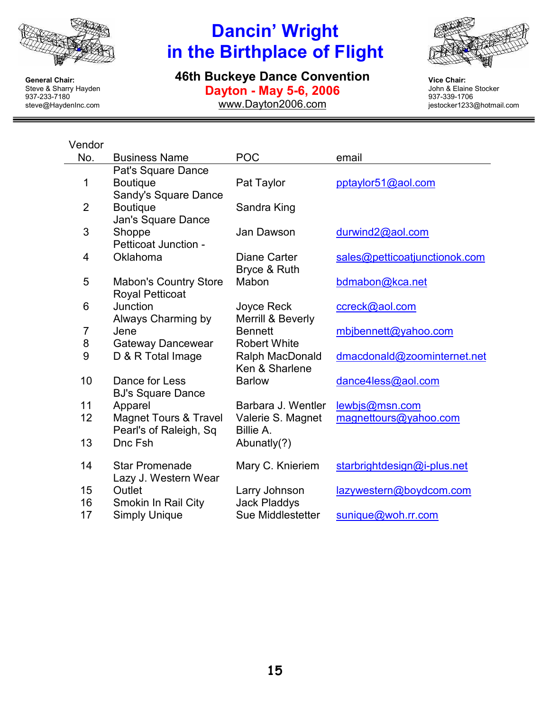

# Dancin' Wright in the Birthplace of Flight

46th Buckeye Dance Convention Dayton - May 5-6, 2006

www.Dayton2006.com



Vice Chair: John & Elaine Stocker 937-339-1706 jestocker1233@hotmail.com

<u> 1989 - Johann Barnett, fransk kongresu</u>

| Vendor         |                                                               |                                          |                               |
|----------------|---------------------------------------------------------------|------------------------------------------|-------------------------------|
| No.            | <b>Business Name</b>                                          | <b>POC</b>                               | email                         |
| 1              | Pat's Square Dance<br><b>Boutique</b><br>Sandy's Square Dance | Pat Taylor                               | pptaylor51@aol.com            |
| $\overline{2}$ | <b>Boutique</b><br>Jan's Square Dance                         | Sandra King                              |                               |
| 3              | Shoppe<br>Petticoat Junction -                                | Jan Dawson                               | durwind2@aol.com              |
| 4              | Oklahoma                                                      | Diane Carter<br>Bryce & Ruth             | sales@petticoatjunctionok.com |
| 5              | <b>Mabon's Country Store</b><br><b>Royal Petticoat</b>        | Mabon                                    | bdmabon@kca.net               |
| 6              | Junction<br>Always Charming by                                | Joyce Reck<br>Merrill & Beverly          | ccreck@aol.com                |
| $\overline{7}$ | Jene                                                          | <b>Bennett</b>                           | mbjbennett@yahoo.com          |
| 8              | Gateway Dancewear                                             | <b>Robert White</b>                      |                               |
| 9              | D & R Total Image                                             | Ralph MacDonald<br>Ken & Sharlene        | dmacdonald@zoominternet.net   |
| 10             | Dance for Less<br><b>BJ's Square Dance</b>                    | <b>Barlow</b>                            | dance4less@aol.com            |
| 11             | Apparel                                                       | Barbara J. Wentler                       | lewbjs@msn.com                |
| 12             | <b>Magnet Tours &amp; Travel</b><br>Pearl's of Raleigh, Sq    | Valerie S. Magnet<br>Billie A.           | magnettours@yahoo.com         |
| 13             | Dnc Fsh                                                       | Abunatly(?)                              |                               |
| 14             | <b>Star Promenade</b><br>Lazy J. Western Wear                 | Mary C. Knieriem                         | starbrightdesign@i-plus.net   |
| 15             | Outlet                                                        | Larry Johnson                            | lazywestern@boydcom.com       |
| 16<br>17       | Smokin In Rail City<br><b>Simply Unique</b>                   | <b>Jack Pladdys</b><br>Sue Middlestetter | sunique@woh.rr.com            |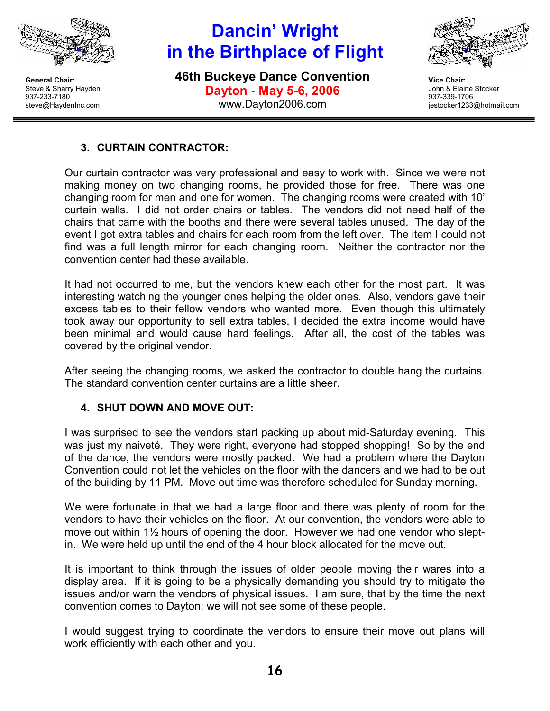

# Dancin' Wright in the Birthplace of Flight

46th Buckeye Dance Convention Dayton - May 5-6, 2006 www.Dayton2006.com



Vice Chair: John & Elaine Stocker 937-339-1706 jestocker1233@hotmail.com

### 3. CURTAIN CONTRACTOR:

Our curtain contractor was very professional and easy to work with. Since we were not making money on two changing rooms, he provided those for free. There was one changing room for men and one for women. The changing rooms were created with 10' curtain walls. I did not order chairs or tables. The vendors did not need half of the chairs that came with the booths and there were several tables unused. The day of the event I got extra tables and chairs for each room from the left over. The item I could not find was a full length mirror for each changing room. Neither the contractor nor the convention center had these available.

It had not occurred to me, but the vendors knew each other for the most part. It was interesting watching the younger ones helping the older ones. Also, vendors gave their excess tables to their fellow vendors who wanted more. Even though this ultimately took away our opportunity to sell extra tables, I decided the extra income would have been minimal and would cause hard feelings. After all, the cost of the tables was covered by the original vendor.

After seeing the changing rooms, we asked the contractor to double hang the curtains. The standard convention center curtains are a little sheer.

#### 4. SHUT DOWN AND MOVE OUT:

I was surprised to see the vendors start packing up about mid-Saturday evening. This was just my naiveté. They were right, everyone had stopped shopping! So by the end of the dance, the vendors were mostly packed. We had a problem where the Dayton Convention could not let the vehicles on the floor with the dancers and we had to be out of the building by 11 PM. Move out time was therefore scheduled for Sunday morning.

We were fortunate in that we had a large floor and there was plenty of room for the vendors to have their vehicles on the floor. At our convention, the vendors were able to move out within 1½ hours of opening the door. However we had one vendor who sleptin. We were held up until the end of the 4 hour block allocated for the move out.

It is important to think through the issues of older people moving their wares into a display area. If it is going to be a physically demanding you should try to mitigate the issues and/or warn the vendors of physical issues. I am sure, that by the time the next convention comes to Dayton; we will not see some of these people.

I would suggest trying to coordinate the vendors to ensure their move out plans will work efficiently with each other and you.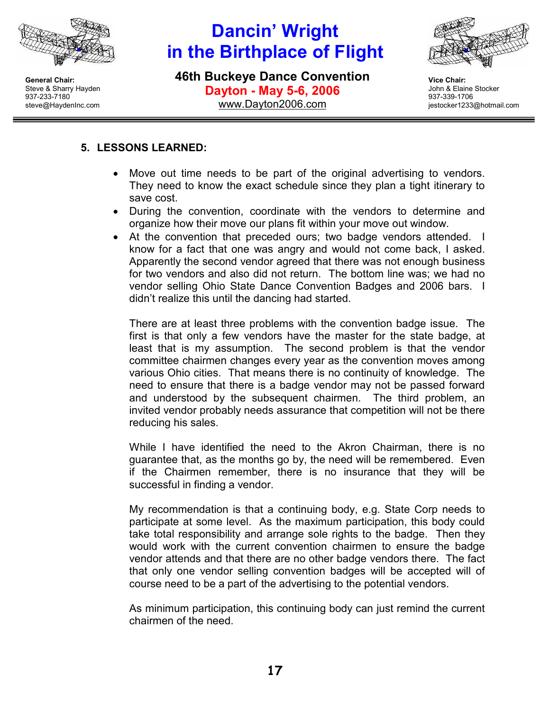

# Dancin' Wright in the Birthplace of Flight

46th Buckeye Dance Convention Dayton - May 5-6, 2006 www.Dayton2006.com



Vice Chair: John & Elaine Stocker 937-339-1706 jestocker1233@hotmail.com

### 5. LESSONS LEARNED:

- Move out time needs to be part of the original advertising to vendors. They need to know the exact schedule since they plan a tight itinerary to save cost.
- During the convention, coordinate with the vendors to determine and organize how their move our plans fit within your move out window.
- At the convention that preceded ours; two badge vendors attended. I know for a fact that one was angry and would not come back, I asked. Apparently the second vendor agreed that there was not enough business for two vendors and also did not return. The bottom line was; we had no vendor selling Ohio State Dance Convention Badges and 2006 bars. I didn't realize this until the dancing had started.

There are at least three problems with the convention badge issue. The first is that only a few vendors have the master for the state badge, at least that is my assumption. The second problem is that the vendor committee chairmen changes every year as the convention moves among various Ohio cities. That means there is no continuity of knowledge. The need to ensure that there is a badge vendor may not be passed forward and understood by the subsequent chairmen. The third problem, an invited vendor probably needs assurance that competition will not be there reducing his sales.

While I have identified the need to the Akron Chairman, there is no guarantee that, as the months go by, the need will be remembered. Even if the Chairmen remember, there is no insurance that they will be successful in finding a vendor.

My recommendation is that a continuing body, e.g. State Corp needs to participate at some level. As the maximum participation, this body could take total responsibility and arrange sole rights to the badge. Then they would work with the current convention chairmen to ensure the badge vendor attends and that there are no other badge vendors there. The fact that only one vendor selling convention badges will be accepted will of course need to be a part of the advertising to the potential vendors.

As minimum participation, this continuing body can just remind the current chairmen of the need.